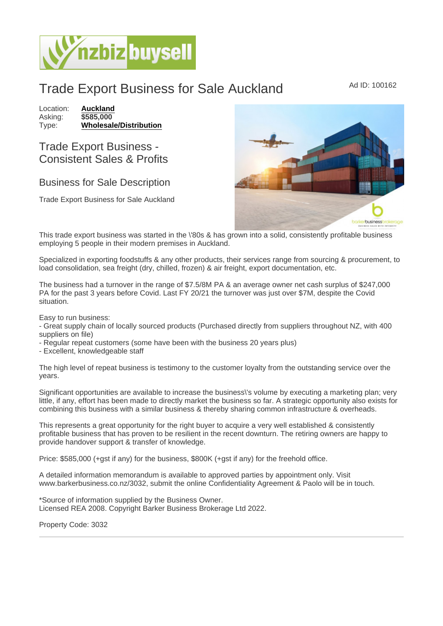## Trade Export Business for Sale Auckland Ad ID: 100162

Location: [Auckland](https://www.nzbizbuysell.co.nz/businesses-for-sale/location/Auckland) Asking: \$585,000<br>Type: Wholesale [Wholesale/Distribution](https://www.nzbizbuysell.co.nz/businesses-for-sale/Wholesale--Distribution/New-Zealand)

## Trade Export Business - Consistent Sales & Profits

## Business for Sale Description

Trade Export Business for Sale Auckland

This trade export business was started in the \'80s & has grown into a solid, consistently profitable business employing 5 people in their modern premises in Auckland.

Specialized in exporting foodstuffs & any other products, their services range from sourcing & procurement, to load consolidation, sea freight (dry, chilled, frozen) & air freight, export documentation, etc.

The business had a turnover in the range of \$7.5/8M PA & an average owner net cash surplus of \$247,000 PA for the past 3 years before Covid. Last FY 20/21 the turnover was just over \$7M, despite the Covid situation.

Easy to run business:

- Great supply chain of locally sourced products (Purchased directly from suppliers throughout NZ, with 400 suppliers on file)

- Regular repeat customers (some have been with the business 20 years plus)

- Excellent, knowledgeable staff

The high level of repeat business is testimony to the customer loyalty from the outstanding service over the years.

Significant opportunities are available to increase the business\'s volume by executing a marketing plan; very little, if any, effort has been made to directly market the business so far. A strategic opportunity also exists for combining this business with a similar business & thereby sharing common infrastructure & overheads.

This represents a great opportunity for the right buyer to acquire a very well established & consistently profitable business that has proven to be resilient in the recent downturn. The retiring owners are happy to provide handover support & transfer of knowledge.

Price: \$585,000 (+gst if any) for the business, \$800K (+gst if any) for the freehold office.

A detailed information memorandum is available to approved parties by appointment only. Visit www.barkerbusiness.co.nz/3032, submit the online Confidentiality Agreement & Paolo will be in touch.

\*Source of information supplied by the Business Owner. Licensed REA 2008. Copyright Barker Business Brokerage Ltd 2022.

Property Code: 3032